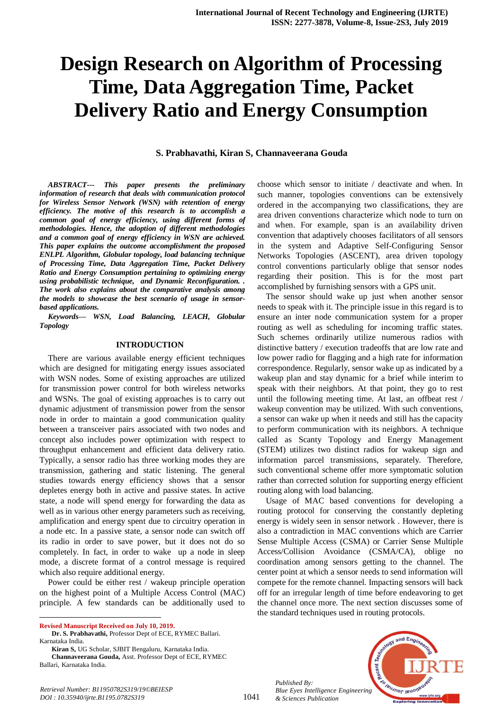# **Design Research on Algorithm of Processing Time, Data Aggregation Time, Packet Delivery Ratio and Energy Consumption**

# **S. Prabhavathi, Kiran S, Channaveerana Gouda**

*ABSTRACT--- This paper presents the preliminary information of research that deals with communication protocol for Wireless Sensor Network (WSN) with retention of energy efficiency. The motive of this research is to accomplish a common goal of energy efficiency, using different forms of methodologies. Hence, the adoption of different methodologies and a common goal of energy efficiency in WSN are achieved. This paper explains the outcome accomplishment the proposed ENLPL Algorithm, Globular topology, load balancing technique of Processing Time, Data Aggregation Time, Packet Delivery Ratio and Energy Consumption pertaining to optimizing energy using probabilistic technique, and Dynamic Reconfiguration. . The work also explains about the comparative analysis among the models to showcase the best scenario of usage in sensorbased applications.*

*Keywords— WSN, Load Balancing, LEACH, Globular Topology*

#### **INTRODUCTION**

There are various available energy efficient techniques which are designed for mitigating energy issues associated with WSN nodes. Some of existing approaches are utilized for transmission power control for both wireless networks and WSNs. The goal of existing approaches is to carry out dynamic adjustment of transmission power from the sensor node in order to maintain a good communication quality between a transceiver pairs associated with two nodes and concept also includes power optimization with respect to throughput enhancement and efficient data delivery ratio. Typically, a sensor radio has three working modes they are transmission, gathering and static listening. The general studies towards energy efficiency shows that a sensor depletes energy both in active and passive states. In active state, a node will spend energy for forwarding the data as well as in various other energy parameters such as receiving, amplification and energy spent due to circuitry operation in a node etc. In a passive state, a sensor node can switch off its radio in order to save power, but it does not do so completely. In fact, in order to wake up a node in sleep mode, a discrete format of a control message is required which also require additional energy.

Power could be either rest / wakeup principle operation on the highest point of a Multiple Access Control (MAC) principle. A few standards can be additionally used to

**Revised Manuscript Received on July 10, 2019.**

 $\ddot{\phantom{a}}$ 

**Kiran S,** UG Scholar, SJBIT Bengaluru, Karnataka India. **Channaveerana Gouda,** Asst. Professor Dept of ECE, RYMEC Ballari, Karnataka India.

choose which sensor to initiate / deactivate and when. In such manner, topologies conventions can be extensively ordered in the accompanying two classifications, they are area driven conventions characterize which node to turn on and when. For example, span is an availability driven convention that adaptively chooses facilitators of all sensors in the system and Adaptive Self-Configuring Sensor Networks Topologies (ASCENT), area driven topology control conventions particularly oblige that sensor nodes regarding their position. This is for the most part accomplished by furnishing sensors with a GPS unit.

The sensor should wake up just when another sensor needs to speak with it. The principle issue in this regard is to ensure an inter node communication system for a proper routing as well as scheduling for incoming traffic states. Such schemes ordinarily utilize numerous radios with distinctive battery / execution tradeoffs that are low rate and low power radio for flagging and a high rate for information correspondence. Regularly, sensor wake up as indicated by a wakeup plan and stay dynamic for a brief while interim to speak with their neighbors. At that point, they go to rest until the following meeting time. At last, an offbeat rest / wakeup convention may be utilized. With such conventions, a sensor can wake up when it needs and still has the capacity to perform communication with its neighbors. A technique called as Scanty Topology and Energy Management (STEM) utilizes two distinct radios for wakeup sign and information parcel transmissions, separately. Therefore, such conventional scheme offer more symptomatic solution rather than corrected solution for supporting energy efficient routing along with load balancing.

Usage of MAC based conventions for developing a routing protocol for conserving the constantly depleting energy is widely seen in sensor network . However, there is also a contradiction in MAC conventions which are Carrier Sense Multiple Access (CSMA) or Carrier Sense Multiple Access/Collision Avoidance (CSMA/CA), oblige no coordination among sensors getting to the channel. The center point at which a sensor needs to send information will compete for the remote channel. Impacting sensors will back off for an irregular length of time before endeavoring to get the channel once more. The next section discusses some of the standard techniques used in routing protocols.

*Published By: Blue Eyes Intelligence Engineering & Sciences Publication* 



**Dr. S. Prabhavathi,** Professor Dept of ECE, RYMEC Ballari. Karnataka India.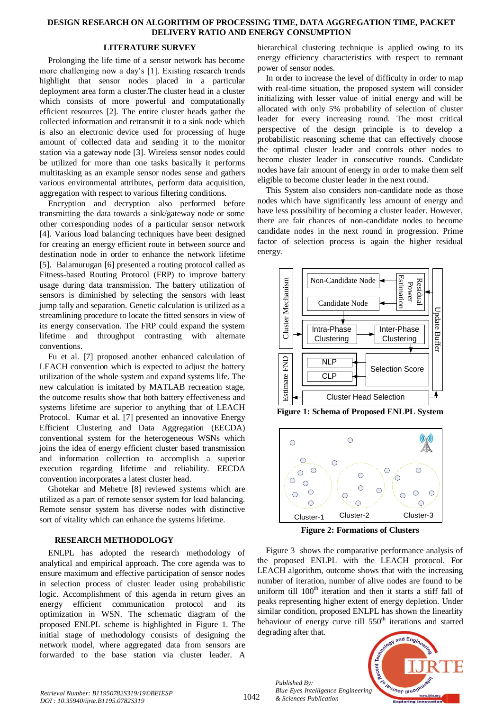#### **DESIGN RESEARCH ON ALGORITHM OF PROCESSING TIME, DATA AGGREGATION TIME, PACKET DELIVERY RATIO AND ENERGY CONSUMPTION**

# **LITERATURE SURVEY**

Prolonging the life time of a sensor network has become more challenging now a day's [1]. Existing research trends highlight that sensor nodes placed in a particular deployment area form a cluster.The cluster head in a cluster which consists of more powerful and computationally efficient resources [2]. The entire cluster heads gather the collected information and retransmit it to a sink node which is also an electronic device used for processing of huge amount of collected data and sending it to the monitor station via a gateway node [3]. Wireless sensor nodes could be utilized for more than one tasks basically it performs multitasking as an example sensor nodes sense and gathers various environmental attributes, perform data acquisition, aggregation with respect to various filtering conditions.

Encryption and decryption also performed before transmitting the data towards a sink/gateway node or some other corresponding nodes of a particular sensor network [4]. Various load balancing techniques have been designed for creating an energy efficient route in between source and destination node in order to enhance the network lifetime [5]. Balamurugan [6] presented a routing protocol called as Fitness-based Routing Protocol (FRP) to improve battery usage during data transmission. The battery utilization of sensors is diminished by selecting the sensors with least jump tally and separation. Genetic calculation is utilized as a streamlining procedure to locate the fitted sensors in view of its energy conservation. The FRP could expand the system lifetime and throughput contrasting with alternate conventions.

Fu et al. [7] proposed another enhanced calculation of LEACH convention which is expected to adjust the battery utilization of the whole system and expand systems life. The new calculation is imitated by MATLAB recreation stage, the outcome results show that both battery effectiveness and systems lifetime are superior to anything that of LEACH Protocol. Kumar et al. [7] presented an innovative Energy Efficient Clustering and Data Aggregation (EECDA) conventional system for the heterogeneous WSNs which joins the idea of energy efficient cluster based transmission and information collection to accomplish a superior execution regarding lifetime and reliability. EECDA convention incorporates a latest cluster head.

Ghotekar and Mehetre [8] reviewed systems which are utilized as a part of remote sensor system for load balancing. Remote sensor system has diverse nodes with distinctive sort of vitality which can enhance the systems lifetime.

# **RESEARCH METHODOLOGY**

ENLPL has adopted the research methodology of analytical and empirical approach. The core agenda was to ensure maximum and effective participation of sensor nodes in selection process of cluster leader using probabilistic logic. Accomplishment of this agenda in return gives an energy efficient communication protocol and its optimization in WSN. The schematic diagram of the proposed ENLPL scheme is highlighted in Figure 1. The initial stage of methodology consists of designing the network model, where aggregated data from sensors are forwarded to the base station via cluster leader. A

hierarchical clustering technique is applied owing to its energy efficiency characteristics with respect to remnant power of sensor nodes.

In order to increase the level of difficulty in order to map with real-time situation, the proposed system will consider initializing with lesser value of initial energy and will be allocated with only 5% probability of selection of cluster leader for every increasing round. The most critical perspective of the design principle is to develop a probabilistic reasoning scheme that can effectively choose the optimal cluster leader and controls other nodes to become cluster leader in consecutive rounds. Candidate nodes have fair amount of energy in order to make them self eligible to become cluster leader in the next round.

This System also considers non-candidate node as those nodes which have significantly less amount of energy and have less possibility of becoming a cluster leader. However, there are fair chances of non-candidate nodes to become candidate nodes in the next round in progression. Prime factor of selection process is again the higher residual energy.



**Figure 1: Schema of Proposed ENLPL System**



**Figure 2: Formations of Clusters**

Figure 3 shows the comparative performance analysis of the proposed ENLPL with the LEACH protocol. For LEACH algorithm, outcome shows that with the increasing number of iteration, number of alive nodes are found to be uniform till 100<sup>th</sup> iteration and then it starts a stiff fall of peaks representing higher extent of energy depletion. Under similar condition, proposed ENLPL has shown the linearlity behaviour of energy curve till 550<sup>th</sup> iterations and started degrading after that.



*Published By:*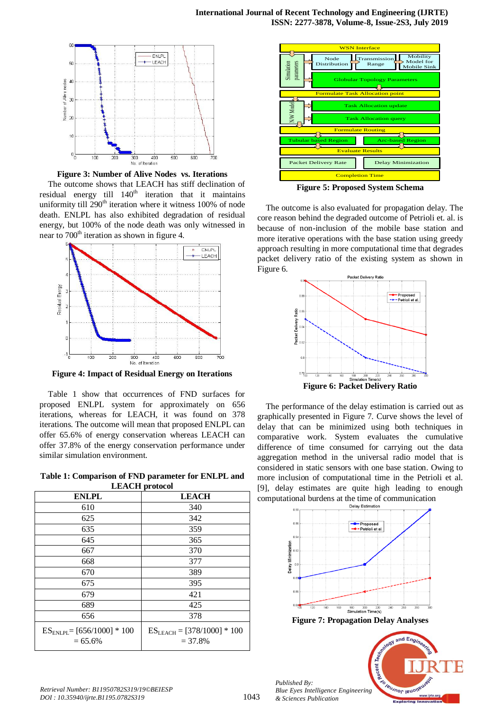

**Figure 3: Number of Alive Nodes vs. Iterations**

The outcome shows that LEACH has stiff declination of residual energy till 140<sup>th</sup> iteration that it maintains uniformity till 290<sup>th</sup> iteration where it witness 100% of node death. ENLPL has also exhibited degradation of residual energy, but 100% of the node death was only witnessed in near to  $700<sup>th</sup>$  iteration as shown in figure 4.



**Figure 4: Impact of Residual Energy on Iterations**

Table 1 show that occurrences of FND surfaces for proposed ENLPL system for approximately on 656 iterations, whereas for LEACH, it was found on 378 iterations. The outcome will mean that proposed ENLPL can offer 65.6% of energy conservation whereas LEACH can offer 37.8% of the energy conservation performance under similar simulation environment.

**Table 1: Comparison of FND parameter for ENLPL and LEACH protocol**

| <b>DELL'ORE PE OVOUGE</b>                     |                                              |  |  |
|-----------------------------------------------|----------------------------------------------|--|--|
| <b>ENLPL</b>                                  | <b>LEACH</b>                                 |  |  |
| 610                                           | 340                                          |  |  |
| 625                                           | 342                                          |  |  |
| 635                                           | 359                                          |  |  |
| 645                                           | 365                                          |  |  |
| 667                                           | 370                                          |  |  |
| 668                                           | 377                                          |  |  |
| 670                                           | 389                                          |  |  |
| 675                                           | 395                                          |  |  |
| 679                                           | 421                                          |  |  |
| 689                                           | 425                                          |  |  |
| 656                                           | 378                                          |  |  |
| $ES_{ENLPL} = [656/1000] * 100$<br>$= 65.6\%$ | $ES_{LEACH} = [378/1000] * 100$<br>$= 37.8%$ |  |  |



**Figure 5: Proposed System Schema**

The outcome is also evaluated for propagation delay. The core reason behind the degraded outcome of Petrioli et. al. is because of non-inclusion of the mobile base station and more iterative operations with the base station using greedy approach resulting in more computational time that degrades packet delivery ratio of the existing system as shown in Figure 6.



The performance of the delay estimation is carried out as graphically presented in Figure 7. Curve shows the level of delay that can be minimized using both techniques in comparative work. System evaluates the cumulative difference of time consumed for carrying out the data aggregation method in the universal radio model that is considered in static sensors with one base station. Owing to more inclusion of computational time in the Petrioli et al. [9], delay estimates are quite high leading to enough computational burdens at the time of communication





*Retrieval Number: B11950782S319/19©BEIESP DOI : 10.35940/ijrte.B1195.0782S319*

*Published By:*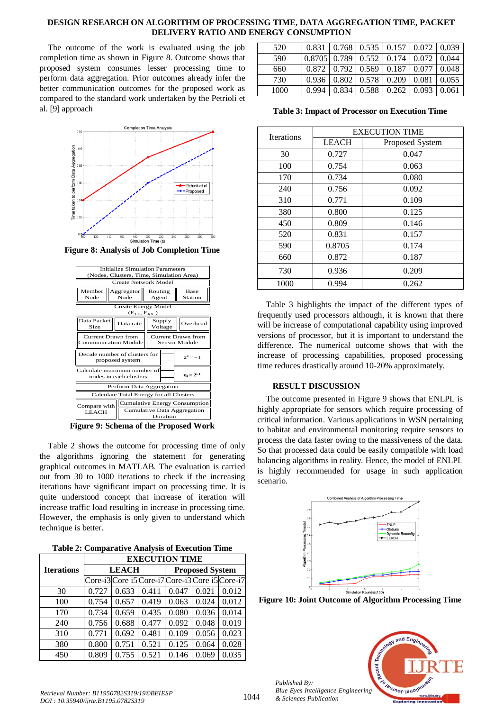## **DESIGN RESEARCH ON ALGORITHM OF PROCESSING TIME, DATA AGGREGATION TIME, PACKET DELIVERY RATIO AND ENERGY CONSUMPTION**

The outcome of the work is evaluated using the job completion time as shown in Figure 8. Outcome shows that proposed system consumes lesser processing time to perform data aggregation. Prior outcomes already infer the better communication outcomes for the proposed work as compared to the standard work undertaken by the Petrioli et al. [9] approach



**Figure 8: Analysis of Job Completion Time**



**Figure 9: Schema of the Proposed Work**

Table 2 shows the outcome for processing time of only the algorithms ignoring the statement for generating graphical outcomes in MATLAB. The evaluation is carried out from 30 to 1000 iterations to check if the increasing iterations have significant impact on processing time. It is quite understood concept that increase of iteration will increase traffic load resulting in increase in processing time. However, the emphasis is only given to understand which technique is better.

**Table 2: Comparative Analysis of Execution Time**

|                   | <b>EXECUTION TIME</b> |       |                        |       |       |                                                 |
|-------------------|-----------------------|-------|------------------------|-------|-------|-------------------------------------------------|
| <b>Iterations</b> | <b>LEACH</b>          |       | <b>Proposed System</b> |       |       |                                                 |
|                   |                       |       |                        |       |       | Core-i3 Core i5 Core-i7 Core-i3 Core i5 Core-i7 |
| 30                | 0.727                 | 0.633 | 0.411                  | 0.047 | 0.021 | 0.012                                           |
| 100               | 0.754                 | 0.657 | 0.419                  | 0.063 | 0.024 | 0.012                                           |
| 170               | 0.734                 | 0.659 | 0.435                  | 0.080 | 0.036 | 0.014                                           |
| 240               | 0.756                 | 0.688 | 0.477                  | 0.092 | 0.048 | 0.019                                           |
| 310               | 0.771                 | 0.692 | 0.481                  | 0.109 | 0.056 | 0.023                                           |
| 380               | 0.800                 | 0.751 | 0.521                  | 0.125 | 0.064 | 0.028                                           |
| 450               | 0.809                 | 0.755 | 0.521                  | 0.146 | 0.069 | 0.035                                           |

| 520  | 0.831                                            |       | $\vert 0.768 \vert 0.535 \vert 0.157 \vert 0.072 \vert 0.039$ |       |                   |       |
|------|--------------------------------------------------|-------|---------------------------------------------------------------|-------|-------------------|-------|
| 590  | $0.8705$   0.789   0.552   0.174   0.072   0.044 |       |                                                               |       |                   |       |
| 660  |                                                  |       | $0.872 \pm 0.792 \pm 0.569 \pm 0.187$                         |       | $0.077 \pm 0.048$ |       |
| 730  | 0.936                                            |       | $0.802 \mid 0.578 \mid 0.209$                                 |       | 0.081             | 0.055 |
| 1000 | 0.994                                            | 0.834 | 0.588                                                         | 0.262 | 0.093             | 0.061 |

**Table 3: Impact of Processor on Execution Time**

| <b>Iterations</b> | <b>EXECUTION TIME</b> |                 |  |
|-------------------|-----------------------|-----------------|--|
|                   | <b>LEACH</b>          | Proposed System |  |
| 30                | 0.727                 | 0.047           |  |
| 100               | 0.754                 | 0.063           |  |
| 170               | 0.734                 | 0.080           |  |
| 240               | 0.756                 | 0.092           |  |
| 310               | 0.771                 | 0.109           |  |
| 380               | 0.800                 | 0.125           |  |
| 450               | 0.809                 | 0.146           |  |
| 520               | 0.831                 | 0.157           |  |
| 590               | 0.8705                | 0.174           |  |
| 660               | 0.872                 | 0.187           |  |
| 730               | 0.936                 | 0.209           |  |
| 1000              | 0.994                 | 0.262           |  |

Table 3 highlights the impact of the different types of frequently used processors although, it is known that there will be increase of computational capability using improved versions of processor, but it is important to understand the difference. The numerical outcome shows that with the increase of processing capabilities, proposed processing time reduces drastically around 10-20% approximately.

# **RESULT DISCUSSION**

The outcome presented in Figure 9 shows that ENLPL is highly appropriate for sensors which require processing of critical information. Various applications in WSN pertaining to habitat and environmental monitoring require sensors to process the data faster owing to the massiveness of the data. So that processed data could be easily compatible with load balancing algorithms in reality. Hence, the model of ENLPL is highly recommended for usage in such application scenario.



**Figure 10: Joint Outcome of Algorithm Processing Time**



*Published By:*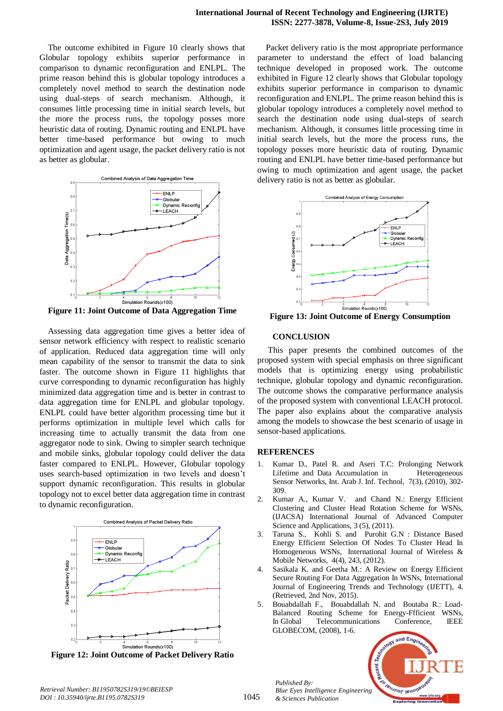The outcome exhibited in Figure 10 clearly shows that Globular topology exhibits superior performance in comparison to dynamic reconfiguration and ENLPL. The prime reason behind this is globular topology introduces a completely novel method to search the destination node using dual-steps of search mechanism. Although, it consumes little processing time in initial search levels, but the more the process runs, the topology posses more heuristic data of routing. Dynamic routing and ENLPL have better time-based performance but owing to much optimization and agent usage, the packet delivery ratio is not as better as globular.



**Figure 11: Joint Outcome of Data Aggregation Time**

Assessing data aggregation time gives a better idea of sensor network efficiency with respect to realistic scenario of application. Reduced data aggregation time will only mean capability of the sensor to transmit the data to sink faster. The outcome shown in Figure 11 highlights that curve corresponding to dynamic reconfiguration has highly minimized data aggregation time and is better in contrast to data aggregation time for ENLPL and globular topology. ENLPL could have better algorithm processing time but it performs optimization in multiple level which calls for increasing time to actually transmit the data from one aggregator node to sink. Owing to simpler search technique and mobile sinks, globular topology could deliver the data faster compared to ENLPL. However, Globular topology uses search-based optimization in two levels and doesn't support dynamic reconfiguration. This results in globular topology not to excel better data aggregation time in contrast to dynamic reconfiguration.



**Figure 12: Joint Outcome of Packet Delivery Ratio**

Packet delivery ratio is the most appropriate performance parameter to understand the effect of load balancing technique developed in proposed work. The outcome exhibited in Figure 12 clearly shows that Globular topology exhibits superior performance in comparison to dynamic reconfiguration and ENLPL. The prime reason behind this is globular topology introduces a completely novel method to search the destination node using dual-steps of search mechanism. Although, it consumes little processing time in initial search levels, but the more the process runs, the topology posses more heuristic data of routing. Dynamic routing and ENLPL have better time-based performance but owing to much optimization and agent usage, the packet delivery ratio is not as better as globular.



**Figure 13: Joint Outcome of Energy Consumption**

#### **CONCLUSION**

This paper presents the combined outcomes of the proposed system with special emphasis on three significant models that is optimizing energy using probabilistic technique, globular topology and dynamic reconfiguration. The outcome shows the comparative performance analysis of the proposed system with conventional LEACH protocol. The paper also explains about the comparative analysis among the models to showcase the best scenario of usage in sensor-based applications.

# **REFERENCES**

- 1. Kumar D., Patel R. and Aseri T.C: Prolonging Network Lifetime and Data Accumulation in Heterogeneous Sensor Networks, Int. Arab J. Inf. Technol, 7(3), (2010), 302- 309.
- 2. Kumar A., Kumar V. and Chand N.: Energy Efficient Clustering and Cluster Head Rotation Scheme for WSNs, (IJACSA) International Journal of Advanced Computer Science and Applications, 3 (5), (2011).
- 3. Taruna S., Kohli S. and Purohit G.N : Distance Based Energy Efficient Selection Of Nodes To Cluster Head In Homogeneous WSNs, International Journal of Wireless & Mobile Networks, 4(4), 243, (2012).
- 4. Sasikala K. and Geetha M.: A Review on Energy Efficient Secure Routing For Data Aggregation In WSNs, International Journal of Engineering Trends and Technology (IJETT), 4. (Retrieved, 2nd Nov, 2015).
- 5. Bouabdallah F., Bouabdallah N. and Boutaba R.: Load-Balanced Routing Scheme for Energy-Ffficient WSNs, In Global Telecommunications Conference, IEEE GLOBECOM, (2008), 1-6.



*Published By:*